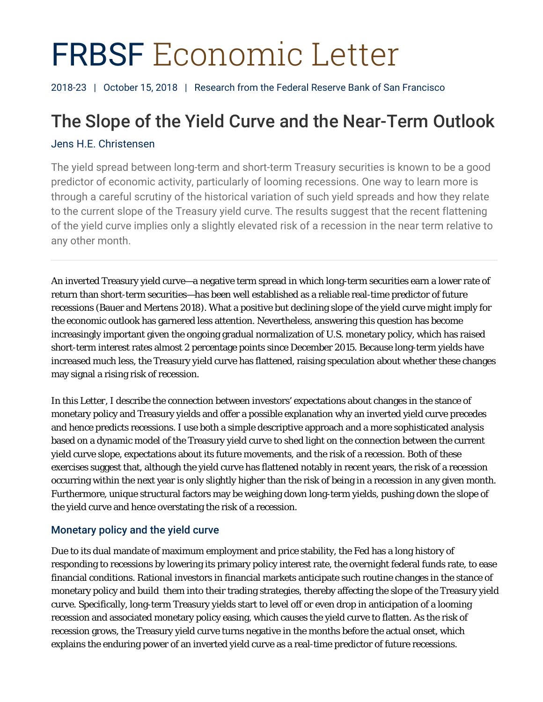# FRBSF Economic Letter

2018-23 | October 15, 2018 | Research from the Federal Reserve Bank of San Francisco

# The Slope of the Yield Curve and the Near-Term Outlook

### Jens H.E. Christensen

The yield spread between long-term and short-term Treasury securities is known to be a good predictor of economic activity, particularly of looming recessions. One way to learn more is through a careful scrutiny of the historical variation of such yield spreads and how they relate to the current slope of the Treasury yield curve. The results suggest that the recent flattening of the yield curve implies only a slightly elevated risk of a recession in the near term relative to any other month.

An inverted Treasury yield curve—a negative term spread in which long-term securities earn a lower rate of return than short-term securities—has been well established as a reliable real-time predictor of future recessions (Bauer and Mertens 2018). What a positive but declining slope of the yield curve might imply for the economic outlook has garnered less attention. Nevertheless, answering this question has become increasingly important given the ongoing gradual normalization of U.S. monetary policy, which has raised short-term interest rates almost 2 percentage points since December 2015. Because long-term yields have increased much less, the Treasury yield curve has flattened, raising speculation about whether these changes may signal a rising risk of recession.

In this *Letter*, I describe the connection between investors' expectations about changes in the stance of monetary policy and Treasury yields and offer a possible explanation why an inverted yield curve precedes and hence predicts recessions. I use both a simple descriptive approach and a more sophisticated analysis based on a dynamic model of the Treasury yield curve to shed light on the connection between the current yield curve slope, expectations about its future movements, and the risk of a recession. Both of these exercises suggest that, although the yield curve has flattened notably in recent years, the risk of a recession occurring within the next year is only slightly higher than the risk of being in a recession in any given month. Furthermore, unique structural factors may be weighing down long-term yields, pushing down the slope of the yield curve and hence overstating the risk of a recession.

## Monetary policy and the yield curve

Due to its dual mandate of maximum employment and price stability, the Fed has a long history of responding to recessions by lowering its primary policy interest rate, the overnight federal funds rate, to ease financial conditions. Rational investors in financial markets anticipate such routine changes in the stance of monetary policy and build them into their trading strategies, thereby affecting the slope of the Treasury yield curve. Specifically, long-term Treasury yields start to level off or even drop in anticipation of a looming recession and associated monetary policy easing, which causes the yield curve to flatten. As the risk of recession grows, the Treasury yield curve turns negative in the months before the actual onset, which explains the enduring power of an inverted yield curve as a real-time predictor of future recessions.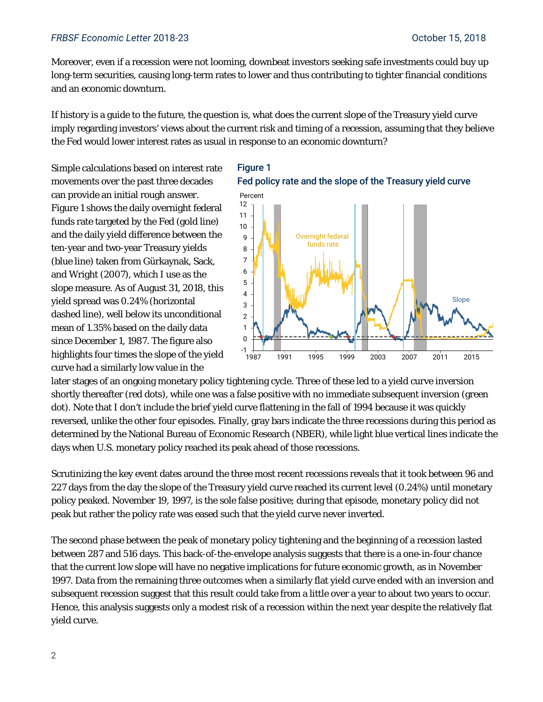#### *FRBSF Economic Letter* 2018-23 October 15, 2018

Moreover, even if a recession were not looming, downbeat investors seeking safe investments could buy up long-term securities, causing long-term rates to lower and thus contributing to tighter financial conditions and an economic downturn.

If history is a guide to the future, the question is, what does the current slope of the Treasury yield curve imply regarding investors' views about the current risk and timing of a recession, assuming that they believe the Fed would lower interest rates as usual in response to an economic downturn?

Simple calculations based on interest rate movements over the past three decades can provide an initial rough answer. Figure 1 shows the daily overnight federal funds rate targeted by the Fed (gold line) and the daily yield difference between the ten-year and two-year Treasury yields (blue line) taken from Gürkaynak, Sack, and Wright (2007), which I use as the slope measure. As of August 31, 2018, this yield spread was 0.24% (horizontal dashed line), well below its unconditional mean of 1.35% based on the daily data since December 1, 1987. The figure also highlights four times the slope of the yield curve had a similarly low value in the



1987 1991 1995 1999 2003 2007 2011 2015

later stages of an ongoing monetary policy tightening cycle. Three of these led to a yield curve inversion shortly thereafter (red dots), while one was a false positive with no immediate subsequent inversion (green dot). Note that I don't include the brief yield curve flattening in the fall of 1994 because it was quickly reversed, unlike the other four episodes. Finally, gray bars indicate the three recessions during this period as determined by the National Bureau of Economic Research (NBER), while light blue vertical lines indicate the days when U.S. monetary policy reached its peak ahead of those recessions.

-1 <del>|</del><br>1987

Scrutinizing the key event dates around the three most recent recessions reveals that it took between 96 and 227 days from the day the slope of the Treasury yield curve reached its current level (0.24%) until monetary policy peaked. November 19, 1997, is the sole false positive; during that episode, monetary policy did not peak but rather the policy rate was eased such that the yield curve never inverted.

The second phase between the peak of monetary policy tightening and the beginning of a recession lasted between 287 and 516 days. This back-of-the-envelope analysis suggests that there is a one-in-four chance that the current low slope will have no negative implications for future economic growth, as in November 1997. Data from the remaining three outcomes when a similarly flat yield curve ended with an inversion and subsequent recession suggest that this result could take from a little over a year to about two years to occur. Hence, this analysis suggests only a modest risk of a recession within the next year despite the relatively flat yield curve.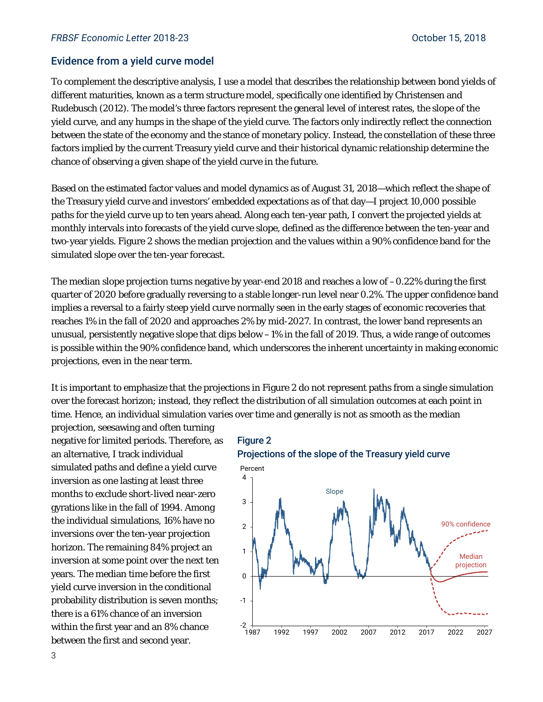#### Evidence from a yield curve model

To complement the descriptive analysis, I use a model that describes the relationship between bond yields of different maturities, known as a term structure model, specifically one identified by Christensen and Rudebusch (2012). The model's three factors represent the general level of interest rates, the slope of the yield curve, and any humps in the shape of the yield curve. The factors only indirectly reflect the connection between the state of the economy and the stance of monetary policy. Instead, the constellation of these three factors implied by the current Treasury yield curve and their historical dynamic relationship determine the chance of observing a given shape of the yield curve in the future.

Based on the estimated factor values and model dynamics as of August 31, 2018—which reflect the shape of the Treasury yield curve and investors' embedded expectations as of that day—I project 10,000 possible paths for the yield curve up to ten years ahead. Along each ten-year path, I convert the projected yields at monthly intervals into forecasts of the yield curve slope, defined as the difference between the ten-year and two-year yields. Figure 2 shows the median projection and the values within a 90% confidence band for the simulated slope over the ten-year forecast.

The median slope projection turns negative by year-end 2018 and reaches a low of –0.22% during the first quarter of 2020 before gradually reversing to a stable longer-run level near 0.2%. The upper confidence band implies a reversal to a fairly steep yield curve normally seen in the early stages of economic recoveries that reaches 1% in the fall of 2020 and approaches 2% by mid-2027. In contrast, the lower band represents an unusual, persistently negative slope that dips below –1% in the fall of 2019. Thus, a wide range of outcomes is possible within the 90% confidence band, which underscores the inherent uncertainty in making economic projections, even in the near term.

It is important to emphasize that the projections in Figure 2 do not represent paths from a single simulation over the forecast horizon; instead, they reflect the distribution of all simulation outcomes at each point in time. Hence, an individual simulation varies over time and generally is not as smooth as the median

projection, seesawing and often turning negative for limited periods. Therefore, as an alternative, I track individual simulated paths and define a yield curve inversion as one lasting at least three months to exclude short-lived near-zero gyrations like in the fall of 1994. Among the individual simulations, 16% have no inversions over the ten-year projection horizon. The remaining 84% project an inversion at some point over the next ten years. The median time before the first yield curve inversion in the conditional probability distribution is seven months; there is a 61% chance of an inversion within the first year and an 8% chance between the first and second year.



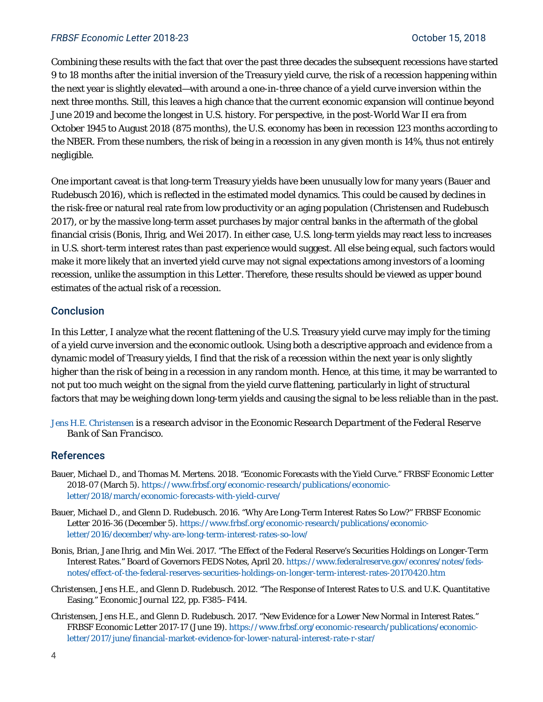#### *FRBSF Economic Letter* 2018-23 October 15, 2018

Combining these results with the fact that over the past three decades the subsequent recessions have started 9 to 18 months *after* the initial inversion of the Treasury yield curve, the risk of a recession happening within the next year is slightly elevated—with around a one-in-three chance of a yield curve inversion within the next three months. Still, this leaves a high chance that the current economic expansion will continue beyond June 2019 and become the longest in U.S. history. For perspective, in the post-World War II era from October 1945 to August 2018 (875 months), the U.S. economy has been in recession 123 months according to the NBER. From these numbers, the risk of being in a recession in any given month is 14%, thus not entirely negligible.

One important caveat is that long-term Treasury yields have been unusually low for many years (Bauer and Rudebusch 2016), which is reflected in the estimated model dynamics. This could be caused by declines in the risk-free or natural real rate from low productivity or an aging population (Christensen and Rudebusch 2017), or by the massive long-term asset purchases by major central banks in the aftermath of the global financial crisis (Bonis, Ihrig, and Wei 2017). In either case, U.S. long-term yields may react less to increases in U.S. short-term interest rates than past experience would suggest. All else being equal, such factors would make it more likely that an inverted yield curve may *not* signal expectations among investors of a looming recession, unlike the assumption in this *Letter*. Therefore, these results should be viewed as upper bound estimates of the actual risk of a recession.

#### Conclusion

In this *Letter*, I analyze what the recent flattening of the U.S. Treasury yield curve may imply for the timing of a yield curve inversion and the economic outlook. Using both a descriptive approach and evidence from a dynamic model of Treasury yields, I find that the risk of a recession within the next year is only slightly higher than the risk of being in a recession in any random month. Hence, at this time, it may be warranted to not put too much weight on the signal from the yield curve flattening, particularly in light of structural factors that may be weighing down long-term yields and causing the signal to be less reliable than in the past.

*[Jens H.E. Christensen](https://www.frbsf.org/economic-research/economists/jens-christensen/) is a research advisor in the Economic Research Department of the Federal Reserve Bank of San Francisco.*

#### **References**

- Bauer, Michael D., and Thomas M. Mertens. 2018. "Economic Forecasts with the Yield Curve." *FRBSF Economic Letter*  2018-07 (March 5)[. https://www.frbsf.org/economic-research/publications/economic](https://www.frbsf.org/economic-research/publications/economic-letter/2018/march/economic-forecasts-with-yield-curve/)[letter/2018/march/economic-forecasts-with-yield-curve/](https://www.frbsf.org/economic-research/publications/economic-letter/2018/march/economic-forecasts-with-yield-curve/)
- Bauer, Michael D., and Glenn D. Rudebusch. 2016. "Why Are Long-Term Interest Rates So Low?" *FRBSF Economic Letter* 2016-36 (December 5)[. https://www.frbsf.org/economic-research/publications/economic](https://www.frbsf.org/economic-research/publications/economic-letter/2016/december/why-are-long-term-interest-rates-so-low/)[letter/2016/december/why-are-long-term-interest-rates-so-low/](https://www.frbsf.org/economic-research/publications/economic-letter/2016/december/why-are-long-term-interest-rates-so-low/)
- Bonis, Brian, Jane Ihrig, and Min Wei. 2017. "The Effect of the Federal Reserve's Securities Holdings on Longer-Term Interest Rates." Board of Governors FEDS Notes, April 20. [https://www.federalreserve.gov/econres/notes/feds](https://www.federalreserve.gov/econres/notes/feds-notes/effect-of-the-federal-reserves-securities-holdings-on-longer-term-interest-rates-20170420.htm)[notes/effect-of-the-federal-reserves-securities-holdings-on-longer-term-interest-rates-20170420.htm](https://www.federalreserve.gov/econres/notes/feds-notes/effect-of-the-federal-reserves-securities-holdings-on-longer-term-interest-rates-20170420.htm)
- Christensen, Jens H.E., and Glenn D. Rudebusch. 2012. "The Response of Interest Rates to U.S. and U.K. Quantitative Easing." *Economic Journal* 122, pp. F385–F414.
- Christensen, Jens H.E., and Glenn D. Rudebusch. 2017. "New Evidence for a Lower New Normal in Interest Rates." FRBSF Economic Letter 2017-17 (June 19). [https://www.frbsf.org/economic-research/publications/economic](https://www.frbsf.org/economic-research/publications/economic-letter/2017/june/financial-market-evidence-for-lower-natural-interest-rate-r-star/)[letter/2017/june/financial-market-evidence-for-lower-natural-interest-rate-r-star/](https://www.frbsf.org/economic-research/publications/economic-letter/2017/june/financial-market-evidence-for-lower-natural-interest-rate-r-star/)